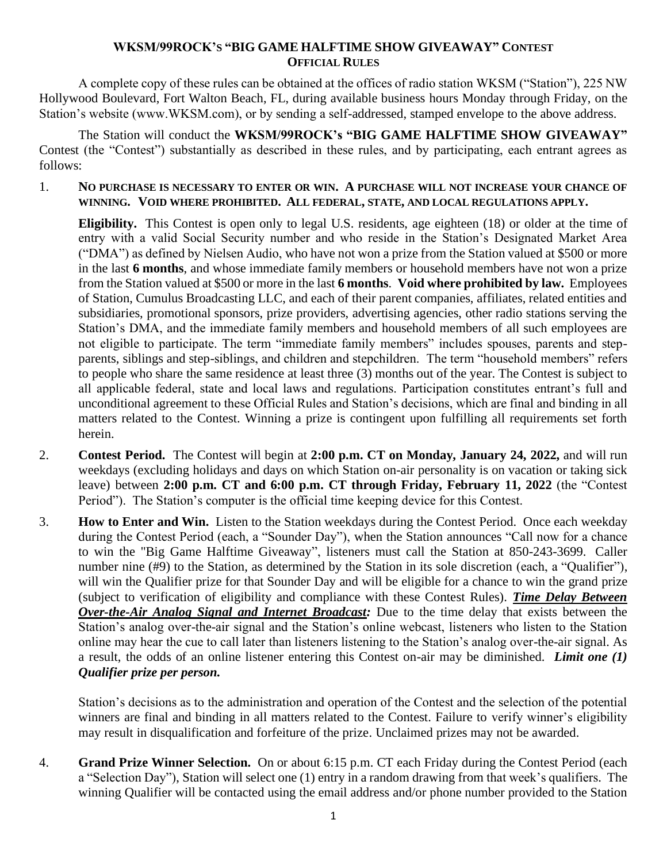## **WKSM/99ROCK'S "BIG GAME HALFTIME SHOW GIVEAWAY" CONTEST OFFICIAL RULES**

A complete copy of these rules can be obtained at the offices of radio station WKSM ("Station"), 225 NW Hollywood Boulevard, Fort Walton Beach, FL, during available business hours Monday through Friday, on the Station's website (www.WKSM.com), or by sending a self-addressed, stamped envelope to the above address.

The Station will conduct the **WKSM/99ROCK's "BIG GAME HALFTIME SHOW GIVEAWAY"**  Contest (the "Contest") substantially as described in these rules, and by participating, each entrant agrees as follows:

1. **NO PURCHASE IS NECESSARY TO ENTER OR WIN. A PURCHASE WILL NOT INCREASE YOUR CHANCE OF WINNING. VOID WHERE PROHIBITED. ALL FEDERAL, STATE, AND LOCAL REGULATIONS APPLY.**

**Eligibility.** This Contest is open only to legal U.S. residents, age eighteen (18) or older at the time of entry with a valid Social Security number and who reside in the Station's Designated Market Area ("DMA") as defined by Nielsen Audio, who have not won a prize from the Station valued at \$500 or more in the last **6 months**, and whose immediate family members or household members have not won a prize from the Station valued at \$500 or more in the last **6 months**. **Void where prohibited by law.** Employees of Station, Cumulus Broadcasting LLC, and each of their parent companies, affiliates, related entities and subsidiaries, promotional sponsors, prize providers, advertising agencies, other radio stations serving the Station's DMA, and the immediate family members and household members of all such employees are not eligible to participate. The term "immediate family members" includes spouses, parents and stepparents, siblings and step-siblings, and children and stepchildren. The term "household members" refers to people who share the same residence at least three (3) months out of the year. The Contest is subject to all applicable federal, state and local laws and regulations. Participation constitutes entrant's full and unconditional agreement to these Official Rules and Station's decisions, which are final and binding in all matters related to the Contest. Winning a prize is contingent upon fulfilling all requirements set forth herein.

- 2. **Contest Period.** The Contest will begin at **2:00 p.m. CT on Monday, January 24, 2022,** and will run weekdays (excluding holidays and days on which Station on-air personality is on vacation or taking sick leave) between **2:00 p.m. CT and 6:00 p.m. CT through Friday, February 11, 2022** (the "Contest Period"). The Station's computer is the official time keeping device for this Contest.
- 3. **How to Enter and Win.** Listen to the Station weekdays during the Contest Period. Once each weekday during the Contest Period (each, a "Sounder Day"), when the Station announces "Call now for a chance to win the "Big Game Halftime Giveaway", listeners must call the Station at 850-243-3699. Caller number nine (#9) to the Station, as determined by the Station in its sole discretion (each, a "Qualifier"), will win the Qualifier prize for that Sounder Day and will be eligible for a chance to win the grand prize (subject to verification of eligibility and compliance with these Contest Rules). *Time Delay Between Over-the-Air Analog Signal and Internet Broadcast:* Due to the time delay that exists between the Station's analog over-the-air signal and the Station's online webcast, listeners who listen to the Station online may hear the cue to call later than listeners listening to the Station's analog over-the-air signal. As a result, the odds of an online listener entering this Contest on-air may be diminished. *Limit one (1) Qualifier prize per person.*

Station's decisions as to the administration and operation of the Contest and the selection of the potential winners are final and binding in all matters related to the Contest. Failure to verify winner's eligibility may result in disqualification and forfeiture of the prize. Unclaimed prizes may not be awarded.

4. **Grand Prize Winner Selection.** On or about 6:15 p.m. CT each Friday during the Contest Period (each a "Selection Day"), Station will select one (1) entry in a random drawing from that week's qualifiers. The winning Qualifier will be contacted using the email address and/or phone number provided to the Station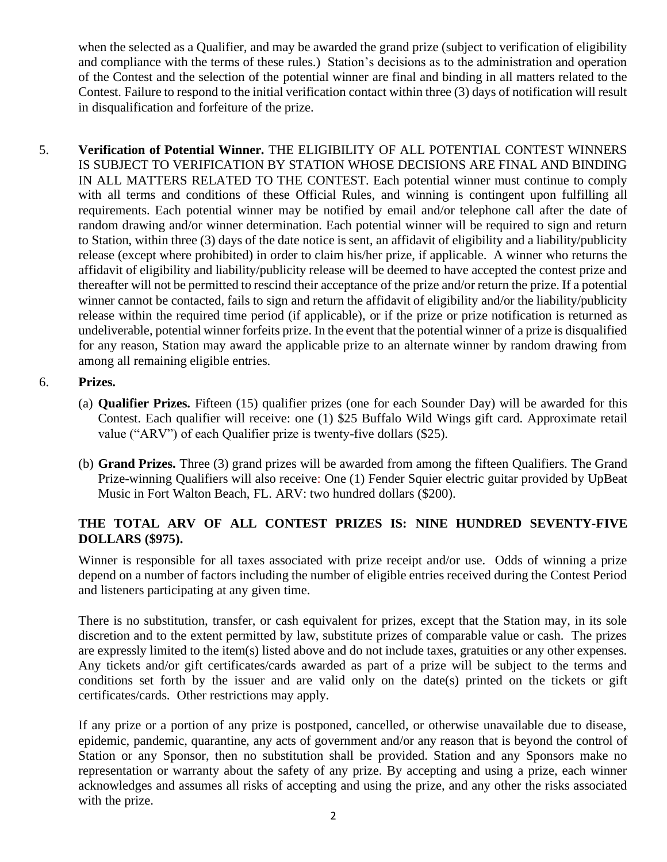when the selected as a Qualifier, and may be awarded the grand prize (subject to verification of eligibility and compliance with the terms of these rules.) Station's decisions as to the administration and operation of the Contest and the selection of the potential winner are final and binding in all matters related to the Contest. Failure to respond to the initial verification contact within three (3) days of notification will result in disqualification and forfeiture of the prize.

5. **Verification of Potential Winner.** THE ELIGIBILITY OF ALL POTENTIAL CONTEST WINNERS IS SUBJECT TO VERIFICATION BY STATION WHOSE DECISIONS ARE FINAL AND BINDING IN ALL MATTERS RELATED TO THE CONTEST. Each potential winner must continue to comply with all terms and conditions of these Official Rules, and winning is contingent upon fulfilling all requirements. Each potential winner may be notified by email and/or telephone call after the date of random drawing and/or winner determination. Each potential winner will be required to sign and return to Station, within three (3) days of the date notice is sent, an affidavit of eligibility and a liability/publicity release (except where prohibited) in order to claim his/her prize, if applicable. A winner who returns the affidavit of eligibility and liability/publicity release will be deemed to have accepted the contest prize and thereafter will not be permitted to rescind their acceptance of the prize and/or return the prize. If a potential winner cannot be contacted, fails to sign and return the affidavit of eligibility and/or the liability/publicity release within the required time period (if applicable), or if the prize or prize notification is returned as undeliverable, potential winner forfeits prize. In the event that the potential winner of a prize is disqualified for any reason, Station may award the applicable prize to an alternate winner by random drawing from among all remaining eligible entries.

## 6. **Prizes.**

- (a) **Qualifier Prizes.** Fifteen (15) qualifier prizes (one for each Sounder Day) will be awarded for this Contest. Each qualifier will receive: one (1) \$25 Buffalo Wild Wings gift card. Approximate retail value ("ARV") of each Qualifier prize is twenty-five dollars (\$25).
- (b) **Grand Prizes.** Three (3) grand prizes will be awarded from among the fifteen Qualifiers. The Grand Prize-winning Qualifiers will also receive: One (1) Fender Squier electric guitar provided by UpBeat Music in Fort Walton Beach, FL. ARV: two hundred dollars (\$200).

## **THE TOTAL ARV OF ALL CONTEST PRIZES IS: NINE HUNDRED SEVENTY-FIVE DOLLARS (\$975).**

Winner is responsible for all taxes associated with prize receipt and/or use. Odds of winning a prize depend on a number of factors including the number of eligible entries received during the Contest Period and listeners participating at any given time.

There is no substitution, transfer, or cash equivalent for prizes, except that the Station may, in its sole discretion and to the extent permitted by law, substitute prizes of comparable value or cash. The prizes are expressly limited to the item(s) listed above and do not include taxes, gratuities or any other expenses. Any tickets and/or gift certificates/cards awarded as part of a prize will be subject to the terms and conditions set forth by the issuer and are valid only on the date(s) printed on the tickets or gift certificates/cards. Other restrictions may apply.

If any prize or a portion of any prize is postponed, cancelled, or otherwise unavailable due to disease, epidemic, pandemic, quarantine, any acts of government and/or any reason that is beyond the control of Station or any Sponsor, then no substitution shall be provided. Station and any Sponsors make no representation or warranty about the safety of any prize. By accepting and using a prize, each winner acknowledges and assumes all risks of accepting and using the prize, and any other the risks associated with the prize.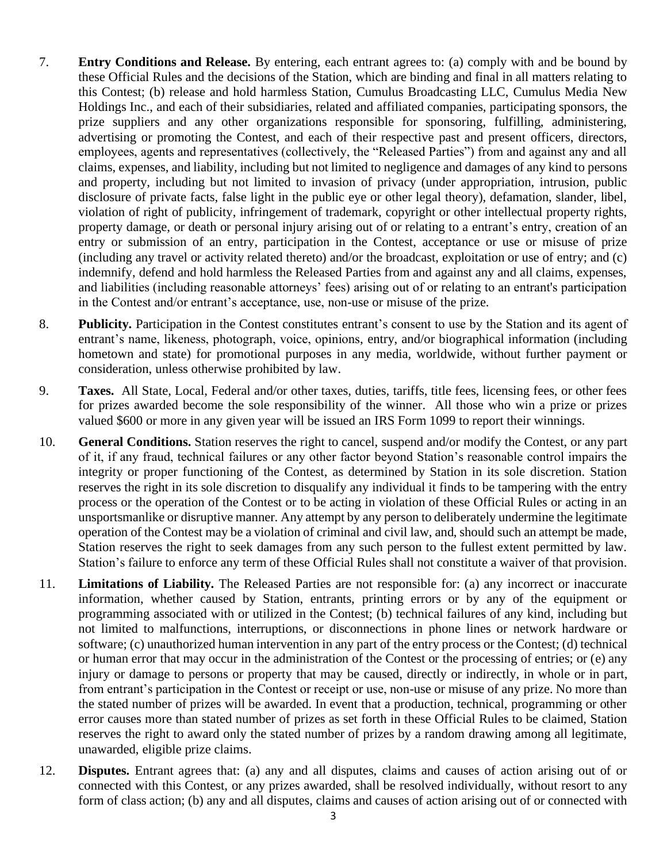- 7. **Entry Conditions and Release.** By entering, each entrant agrees to: (a) comply with and be bound by these Official Rules and the decisions of the Station, which are binding and final in all matters relating to this Contest; (b) release and hold harmless Station, Cumulus Broadcasting LLC, Cumulus Media New Holdings Inc., and each of their subsidiaries, related and affiliated companies, participating sponsors, the prize suppliers and any other organizations responsible for sponsoring, fulfilling, administering, advertising or promoting the Contest, and each of their respective past and present officers, directors, employees, agents and representatives (collectively, the "Released Parties") from and against any and all claims, expenses, and liability, including but not limited to negligence and damages of any kind to persons and property, including but not limited to invasion of privacy (under appropriation, intrusion, public disclosure of private facts, false light in the public eye or other legal theory), defamation, slander, libel, violation of right of publicity, infringement of trademark, copyright or other intellectual property rights, property damage, or death or personal injury arising out of or relating to a entrant's entry, creation of an entry or submission of an entry, participation in the Contest, acceptance or use or misuse of prize (including any travel or activity related thereto) and/or the broadcast, exploitation or use of entry; and (c) indemnify, defend and hold harmless the Released Parties from and against any and all claims, expenses, and liabilities (including reasonable attorneys' fees) arising out of or relating to an entrant's participation in the Contest and/or entrant's acceptance, use, non-use or misuse of the prize.
- 8. **Publicity.** Participation in the Contest constitutes entrant's consent to use by the Station and its agent of entrant's name, likeness, photograph, voice, opinions, entry, and/or biographical information (including hometown and state) for promotional purposes in any media, worldwide, without further payment or consideration, unless otherwise prohibited by law.
- 9. **Taxes.** All State, Local, Federal and/or other taxes, duties, tariffs, title fees, licensing fees, or other fees for prizes awarded become the sole responsibility of the winner. All those who win a prize or prizes valued \$600 or more in any given year will be issued an IRS Form 1099 to report their winnings.
- 10. **General Conditions.** Station reserves the right to cancel, suspend and/or modify the Contest, or any part of it, if any fraud, technical failures or any other factor beyond Station's reasonable control impairs the integrity or proper functioning of the Contest, as determined by Station in its sole discretion. Station reserves the right in its sole discretion to disqualify any individual it finds to be tampering with the entry process or the operation of the Contest or to be acting in violation of these Official Rules or acting in an unsportsmanlike or disruptive manner. Any attempt by any person to deliberately undermine the legitimate operation of the Contest may be a violation of criminal and civil law, and, should such an attempt be made, Station reserves the right to seek damages from any such person to the fullest extent permitted by law. Station's failure to enforce any term of these Official Rules shall not constitute a waiver of that provision.
- 11. **Limitations of Liability.** The Released Parties are not responsible for: (a) any incorrect or inaccurate information, whether caused by Station, entrants, printing errors or by any of the equipment or programming associated with or utilized in the Contest; (b) technical failures of any kind, including but not limited to malfunctions, interruptions, or disconnections in phone lines or network hardware or software; (c) unauthorized human intervention in any part of the entry process or the Contest; (d) technical or human error that may occur in the administration of the Contest or the processing of entries; or (e) any injury or damage to persons or property that may be caused, directly or indirectly, in whole or in part, from entrant's participation in the Contest or receipt or use, non-use or misuse of any prize. No more than the stated number of prizes will be awarded. In event that a production, technical, programming or other error causes more than stated number of prizes as set forth in these Official Rules to be claimed, Station reserves the right to award only the stated number of prizes by a random drawing among all legitimate, unawarded, eligible prize claims.
- 12. **Disputes.** Entrant agrees that: (a) any and all disputes, claims and causes of action arising out of or connected with this Contest, or any prizes awarded, shall be resolved individually, without resort to any form of class action; (b) any and all disputes, claims and causes of action arising out of or connected with